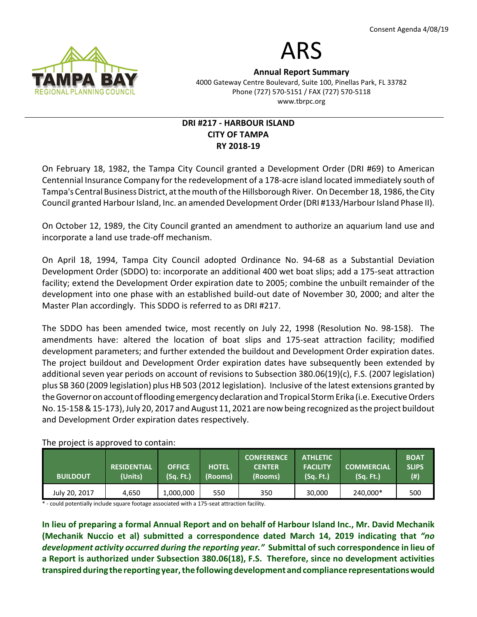

# ARS

Annual Report Summary 4000 Gateway Centre Boulevard, Suite 100, Pinellas Park, FL 33782 Phone (727) 570-5151 / FAX (727) 570-5118 www.tbrpc.org

## DRI #217 - HARBOUR ISLAND CITY OF TAMPA RY 2018-19

On February 18, 1982, the Tampa City Council granted a Development Order (DRI #69) to American Centennial Insurance Company for the redevelopment of a 178-acre island located immediately south of Tampa's Central Business District, at the mouth of the Hillsborough River. On December 18, 1986, the City Council granted Harbour Island, Inc. an amended Development Order (DRI #133/Harbour Island Phase II).

On October 12, 1989, the City Council granted an amendment to authorize an aquarium land use and incorporate a land use trade-off mechanism.

On April 18, 1994, Tampa City Council adopted Ordinance No. 94-68 as a Substantial Deviation Development Order (SDDO) to: incorporate an additional 400 wet boat slips; add a 175-seat attraction facility; extend the Development Order expiration date to 2005; combine the unbuilt remainder of the development into one phase with an established build-out date of November 30, 2000; and alter the Master Plan accordingly. This SDDO is referred to as DRI #217.

The SDDO has been amended twice, most recently on July 22, 1998 (Resolution No. 98-158). The amendments have: altered the location of boat slips and 175-seat attraction facility; modified development parameters; and further extended the buildout and Development Order expiration dates. The project buildout and Development Order expiration dates have subsequently been extended by additional seven year periods on account of revisions to Subsection 380.06(19)(c), F.S. (2007 legislation) plus SB 360 (2009 legislation) plus HB 503 (2012 legislation). Inclusive of the latest extensions granted by the Governor on account of flooding emergency declaration and Tropical Storm Erika (i.e. Executive Orders No. 15-158 & 15-173), July 20, 2017 and August 11, 2021 are now being recognized as the project buildout and Development Order expiration dates respectively.

| <b>BUILDOUT</b> | <b>RESIDENTIAL</b><br>(Units) | <b>OFFICE</b><br>(Sq. Ft.) | <b>HOTEL</b><br>(Rooms) | <b>CONFERENCE</b><br><b>CENTER</b><br>(Rooms) | <b>ATHLETIC</b><br><b>FACILITY</b><br>(Sq. Ft.) | <b>COMMERCIAL</b><br>(Sq. Ft.) | <b>BOAT</b><br><b>SLIPS</b><br>$(\#)$ |
|-----------------|-------------------------------|----------------------------|-------------------------|-----------------------------------------------|-------------------------------------------------|--------------------------------|---------------------------------------|
| July 20, 2017   | 4.650                         | 1,000,000                  | 550                     | 350                                           | 30,000                                          | 240,000*                       | 500                                   |

## The project is approved to contain:

\* - could potentially include square footage associated with a 175-seat attraction facility.

In lieu of preparing a formal Annual Report and on behalf of Harbour Island Inc., Mr. David Mechanik (Mechanik Nuccio et al) submitted a correspondence dated March 14, 2019 indicating that "no development activity occurred during the reporting year." Submittal of such correspondence in lieu of a Report is authorized under Subsection 380.06(18), F.S. Therefore, since no development activities transpired during the reporting year, the following development and compliance representations would